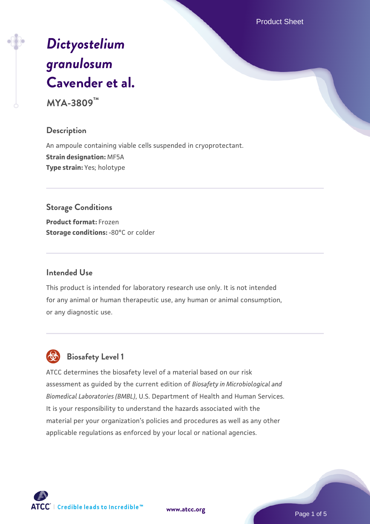Product Sheet

# *[Dictyostelium](https://www.atcc.org/products/mya-3809) [granulosum](https://www.atcc.org/products/mya-3809)* **[Cavender et al.](https://www.atcc.org/products/mya-3809)**

**MYA-3809™**

#### **Description**

An ampoule containing viable cells suspended in cryoprotectant. **Strain designation:** MF5A **Type strain:** Yes; holotype

**Storage Conditions Product format:** Frozen

**Storage conditions: -80°C or colder** 

#### **Intended Use**

This product is intended for laboratory research use only. It is not intended for any animal or human therapeutic use, any human or animal consumption, or any diagnostic use.

## **Biosafety Level 1**

ATCC determines the biosafety level of a material based on our risk assessment as guided by the current edition of *Biosafety in Microbiological and Biomedical Laboratories (BMBL)*, U.S. Department of Health and Human Services. It is your responsibility to understand the hazards associated with the material per your organization's policies and procedures as well as any other applicable regulations as enforced by your local or national agencies.

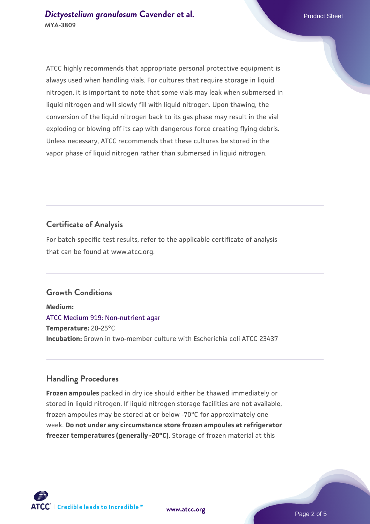ATCC highly recommends that appropriate personal protective equipment is always used when handling vials. For cultures that require storage in liquid nitrogen, it is important to note that some vials may leak when submersed in liquid nitrogen and will slowly fill with liquid nitrogen. Upon thawing, the conversion of the liquid nitrogen back to its gas phase may result in the vial exploding or blowing off its cap with dangerous force creating flying debris. Unless necessary, ATCC recommends that these cultures be stored in the vapor phase of liquid nitrogen rather than submersed in liquid nitrogen.

#### **Certificate of Analysis**

For batch-specific test results, refer to the applicable certificate of analysis that can be found at www.atcc.org.

#### **Growth Conditions**

**Medium:**  [ATCC Medium 919: Non-nutrient agar](https://www.atcc.org/-/media/product-assets/documents/microbial-media-formulations/9/1/9/atcc-medium-919.pdf?rev=f4e1e31d2b4249c2a4e4c31a4c703c9e) **Temperature:** 20-25°C **Incubation:** Grown in two-member culture with Escherichia coli ATCC 23437

### **Handling Procedures**

**Frozen ampoules** packed in dry ice should either be thawed immediately or stored in liquid nitrogen. If liquid nitrogen storage facilities are not available, frozen ampoules may be stored at or below -70°C for approximately one week. **Do not under any circumstance store frozen ampoules at refrigerator freezer temperatures (generally -20°C)**. Storage of frozen material at this

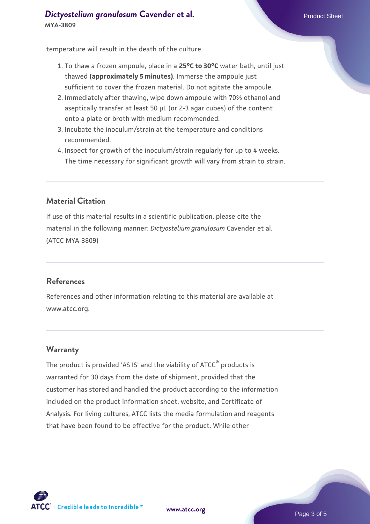#### **[Dictyostelium granulosum](https://www.atcc.org/products/mya-3809) [Cavender et al.](https://www.atcc.org/products/mya-3809)** Product Sheet **MYA-3809**

temperature will result in the death of the culture.

- 1. To thaw a frozen ampoule, place in a **25°C to 30°C** water bath, until just thawed **(approximately 5 minutes)**. Immerse the ampoule just sufficient to cover the frozen material. Do not agitate the ampoule.
- 2. Immediately after thawing, wipe down ampoule with 70% ethanol and aseptically transfer at least 50 µL (or 2-3 agar cubes) of the content onto a plate or broth with medium recommended.
- 3. Incubate the inoculum/strain at the temperature and conditions recommended.
- 4. Inspect for growth of the inoculum/strain regularly for up to 4 weeks. The time necessary for significant growth will vary from strain to strain.

#### **Material Citation**

If use of this material results in a scientific publication, please cite the material in the following manner: *Dictyostelium granulosum* Cavender et al. (ATCC MYA-3809)

#### **References**

References and other information relating to this material are available at www.atcc.org.

#### **Warranty**

The product is provided 'AS IS' and the viability of ATCC® products is warranted for 30 days from the date of shipment, provided that the customer has stored and handled the product according to the information included on the product information sheet, website, and Certificate of Analysis. For living cultures, ATCC lists the media formulation and reagents that have been found to be effective for the product. While other



**[www.atcc.org](http://www.atcc.org)**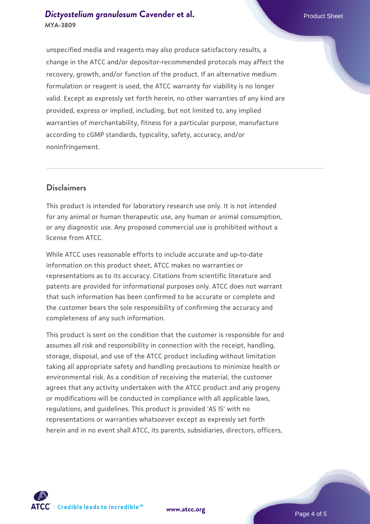#### **[Dictyostelium granulosum](https://www.atcc.org/products/mya-3809) [Cavender et al.](https://www.atcc.org/products/mya-3809)** Product Sheet **MYA-3809**

unspecified media and reagents may also produce satisfactory results, a change in the ATCC and/or depositor-recommended protocols may affect the recovery, growth, and/or function of the product. If an alternative medium formulation or reagent is used, the ATCC warranty for viability is no longer valid. Except as expressly set forth herein, no other warranties of any kind are provided, express or implied, including, but not limited to, any implied warranties of merchantability, fitness for a particular purpose, manufacture according to cGMP standards, typicality, safety, accuracy, and/or noninfringement.

#### **Disclaimers**

This product is intended for laboratory research use only. It is not intended for any animal or human therapeutic use, any human or animal consumption, or any diagnostic use. Any proposed commercial use is prohibited without a license from ATCC.

While ATCC uses reasonable efforts to include accurate and up-to-date information on this product sheet, ATCC makes no warranties or representations as to its accuracy. Citations from scientific literature and patents are provided for informational purposes only. ATCC does not warrant that such information has been confirmed to be accurate or complete and the customer bears the sole responsibility of confirming the accuracy and completeness of any such information.

This product is sent on the condition that the customer is responsible for and assumes all risk and responsibility in connection with the receipt, handling, storage, disposal, and use of the ATCC product including without limitation taking all appropriate safety and handling precautions to minimize health or environmental risk. As a condition of receiving the material, the customer agrees that any activity undertaken with the ATCC product and any progeny or modifications will be conducted in compliance with all applicable laws, regulations, and guidelines. This product is provided 'AS IS' with no representations or warranties whatsoever except as expressly set forth herein and in no event shall ATCC, its parents, subsidiaries, directors, officers,